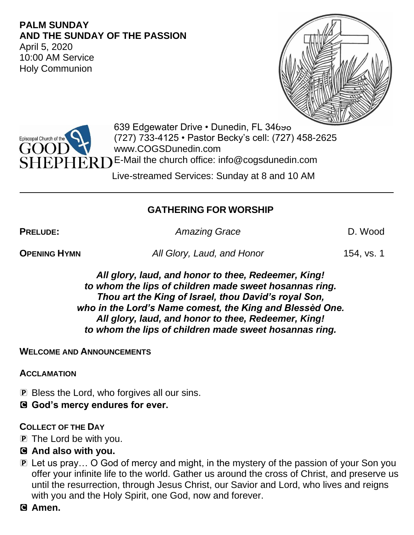#### **PALM SUNDAY AND THE SUNDAY OF THE PASSION**

April 5, 2020 10:00 AM Service Holy Communion





639 Edgewater Drive . Dunedin, FL 34690 (727) 733-4125 • Pastor Becky's cell: (727) 458-2625 www.COGSDunedin.com

 $\widehat{\text{ERD}}$  E-Mail the church office: info@cogsdunedin.com

Live-streamed Services: Sunday at 8 and 10 AM

# **GATHERING FOR WORSHIP**

**PRELUDE:** *Amazing Grace* D. Wood

**OPENING HYMN** *All Glory, Laud, and Honor* 154, vs. 1

*All glory, laud, and honor to thee, Redeemer, King! to whom the lips of children made sweet hosannas ring. Thou art the King of Israel, thou David's royal Son, who in the Lord's Name comest, the King and Blessèd One. All glory, laud, and honor to thee, Redeemer, King! to whom the lips of children made sweet hosannas ring.*

### **WELCOME AND ANNOUNCEMENTS**

**ACCLAMATION**

**P** Bless the Lord, who forgives all our sins.

C **God's mercy endures for ever.**

### **COLLECT OF THE DAY**

- P The Lord be with you.
- C **And also with you.**
- P Let us pray… O God of mercy and might, in the mystery of the passion of your Son you offer your infinite life to the world. Gather us around the cross of Christ, and preserve us until the resurrection, through Jesus Christ, our Savior and Lord, who lives and reigns with you and the Holy Spirit, one God, now and forever.
- C **Amen.**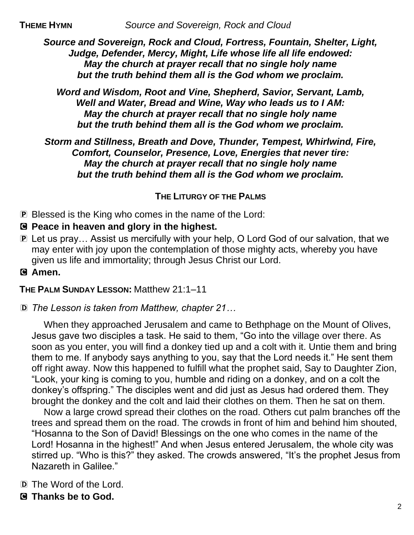*Source and Sovereign, Rock and Cloud, Fortress, Fountain, Shelter, Light, Judge, Defender, Mercy, Might, Life whose life all life endowed: May the church at prayer recall that no single holy name but the truth behind them all is the God whom we proclaim.*

*Word and Wisdom, Root and Vine, Shepherd, Savior, Servant, Lamb, Well and Water, Bread and Wine, Way who leads us to I AM: May the church at prayer recall that no single holy name but the truth behind them all is the God whom we proclaim.*

*Storm and Stillness, Breath and Dove, Thunder, Tempest, Whirlwind, Fire, Comfort, Counselor, Presence, Love, Energies that never tire: May the church at prayer recall that no single holy name but the truth behind them all is the God whom we proclaim.*

# **THE LITURGY OF THE PALMS**

P Blessed is the King who comes in the name of the Lord:

- C **Peace in heaven and glory in the highest.**
- P Let us pray… Assist us mercifully with your help, O Lord God of our salvation, that we may enter with joy upon the contemplation of those mighty acts, whereby you have given us life and immortality; through Jesus Christ our Lord.
- C **Amen.**

**THE PALM SUNDAY LESSON:** Matthew 21:1–11

D *The Lesson is taken from Matthew, chapter 21…*

When they approached Jerusalem and came to Bethphage on the Mount of Olives, Jesus gave two disciples a task. He said to them, "Go into the village over there. As soon as you enter, you will find a donkey tied up and a colt with it. Untie them and bring them to me. If anybody says anything to you, say that the Lord needs it." He sent them off right away. Now this happened to fulfill what the prophet said, Say to Daughter Zion, "Look, your king is coming to you, humble and riding on a donkey, and on a colt the donkey's offspring." The disciples went and did just as Jesus had ordered them. They brought the donkey and the colt and laid their clothes on them. Then he sat on them.

Now a large crowd spread their clothes on the road. Others cut palm branches off the trees and spread them on the road. The crowds in front of him and behind him shouted, "Hosanna to the Son of David! Blessings on the one who comes in the name of the Lord! Hosanna in the highest!" And when Jesus entered Jerusalem, the whole city was stirred up. "Who is this?" they asked. The crowds answered, "It's the prophet Jesus from Nazareth in Galilee."

- D The Word of the Lord.
- C **Thanks be to God.**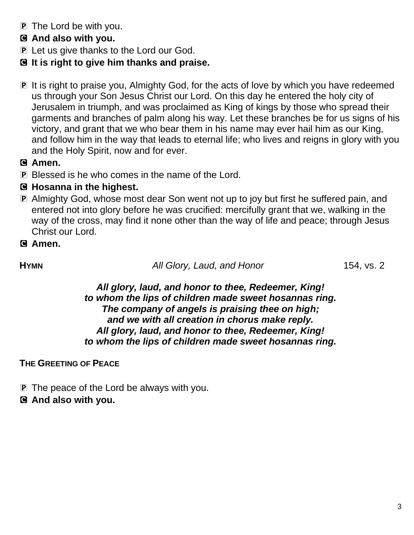- P The Lord be with you.
- C **And also with you.**
- **P** Let us give thanks to the Lord our God.
- C **It is right to give him thanks and praise.**
- P It is right to praise you, Almighty God, for the acts of love by which you have redeemed us through your Son Jesus Christ our Lord. On this day he entered the holy city of Jerusalem in triumph, and was proclaimed as King of kings by those who spread their garments and branches of palm along his way. Let these branches be for us signs of his victory, and grant that we who bear them in his name may ever hail him as our King, and follow him in the way that leads to eternal life; who lives and reigns in glory with you and the Holy Spirit, now and for ever.

### C **Amen.**

P Blessed is he who comes in the name of the Lord.

# C **Hosanna in the highest.**

P Almighty God, whose most dear Son went not up to joy but first he suffered pain, and entered not into glory before he was crucified: mercifully grant that we, walking in the way of the cross, may find it none other than the way of life and peace; through Jesus Christ our Lord.

# C **Amen.**

**HYMN** *All Glory, Laud, and Honor* 154, vs. 2

*All glory, laud, and honor to thee, Redeemer, King! to whom the lips of children made sweet hosannas ring. The company of angels is praising thee on high; and we with all creation in chorus make reply. All glory, laud, and honor to thee, Redeemer, King! to whom the lips of children made sweet hosannas ring.*

### **THE GREETING OF PEACE**

- **P** The peace of the Lord be always with you.
- C **And also with you.**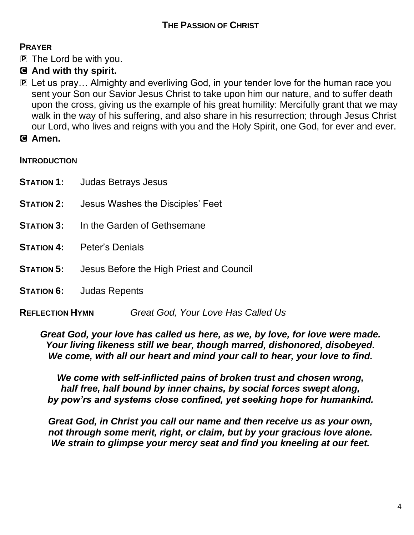## **THE PASSION OF CHRIST**

### **PRAYER**

- P The Lord be with you.
- C **And with thy spirit.**
- P Let us pray… Almighty and everliving God, in your tender love for the human race you sent your Son our Savior Jesus Christ to take upon him our nature, and to suffer death upon the cross, giving us the example of his great humility: Mercifully grant that we may walk in the way of his suffering, and also share in his resurrection; through Jesus Christ our Lord, who lives and reigns with you and the Holy Spirit, one God, for ever and ever.
- C **Amen.**

#### **INTRODUCTION**

|                        | <b>STATION 1:</b> Judas Betrays Jesus                      |                                    |
|------------------------|------------------------------------------------------------|------------------------------------|
| <b>STATION 2:</b>      |                                                            | Jesus Washes the Disciples' Feet   |
| <b>STATION 3:</b>      | In the Garden of Gethsemane                                |                                    |
|                        | <b>STATION 4:</b> Peter's Denials                          |                                    |
|                        | <b>STATION 5:</b> Jesus Before the High Priest and Council |                                    |
|                        | <b>STATION 6:</b> Judas Repents                            |                                    |
| <b>REFLECTION HYMN</b> |                                                            | Great God, Your Love Has Called Us |

*Great God, your love has called us here, as we, by love, for love were made. Your living likeness still we bear, though marred, dishonored, disobeyed. We come, with all our heart and mind your call to hear, your love to find.*

*We come with self-inflicted pains of broken trust and chosen wrong, half free, half bound by inner chains, by social forces swept along, by pow'rs and systems close confined, yet seeking hope for humankind.*

*Great God, in Christ you call our name and then receive us as your own, not through some merit, right, or claim, but by your gracious love alone. We strain to glimpse your mercy seat and find you kneeling at our feet.*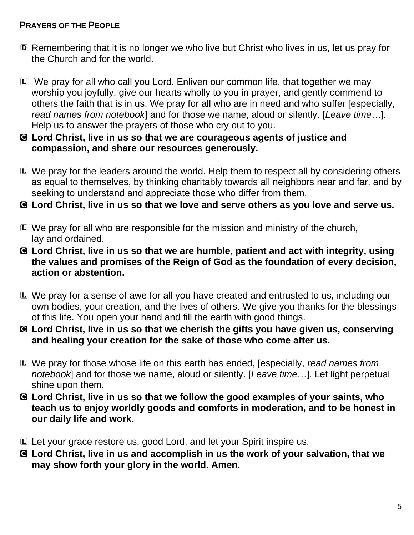### **PRAYERS OF THE PEOPLE**

- D Remembering that it is no longer we who live but Christ who lives in us, let us pray for the Church and for the world.
- L We pray for all who call you Lord. Enliven our common life, that together we may worship you joyfully, give our hearts wholly to you in prayer, and gently commend to others the faith that is in us. We pray for all who are in need and who suffer [especially, *read names from notebook*] and for those we name, aloud or silently. [*Leave time*…]. Help us to answer the prayers of those who cry out to you.
- C **Lord Christ, live in us so that we are courageous agents of justice and compassion, and share our resources generously.**
- L We pray for the leaders around the world. Help them to respect all by considering others as equal to themselves, by thinking charitably towards all neighbors near and far, and by seeking to understand and appreciate those who differ from them.
- C **Lord Christ, live in us so that we love and serve others as you love and serve us.**
- L We pray for all who are responsible for the mission and ministry of the church, lay and ordained.
- C **Lord Christ, live in us so that we are humble, patient and act with integrity, using the values and promises of the Reign of God as the foundation of every decision, action or abstention.**
- L We pray for a sense of awe for all you have created and entrusted to us, including our own bodies, your creation, and the lives of others. We give you thanks for the blessings of this life. You open your hand and fill the earth with good things.
- C **Lord Christ, live in us so that we cherish the gifts you have given us, conserving and healing your creation for the sake of those who come after us.**
- L We pray for those whose life on this earth has ended, [especially, *read names from notebook*] and for those we name, aloud or silently. [*Leave time*…]. Let light perpetual shine upon them.
- C **Lord Christ, live in us so that we follow the good examples of your saints, who teach us to enjoy worldly goods and comforts in moderation, and to be honest in our daily life and work.**
- L Let your grace restore us, good Lord, and let your Spirit inspire us.
- C **Lord Christ, live in us and accomplish in us the work of your salvation, that we may show forth your glory in the world. Amen.**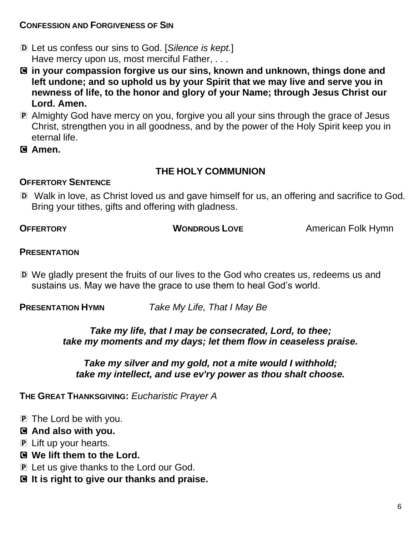### **CONFESSION AND FORGIVENESS OF SIN**

- D Let us confess our sins to God. [*Silence is kept.*] Have mercy upon us, most merciful Father, . . .
- C **in your compassion forgive us our sins, known and unknown, things done and left undone; and so uphold us by your Spirit that we may live and serve you in newness of life, to the honor and glory of your Name; through Jesus Christ our Lord. Amen.**
- P Almighty God have mercy on you, forgive you all your sins through the grace of Jesus Christ, strengthen you in all goodness, and by the power of the Holy Spirit keep you in eternal life.
- C **Amen.**

### **THE HOLY COMMUNION**

#### **OFFERTORY SENTENCE**

D Walk in love, as Christ loved us and gave himself for us, an offering and sacrifice to God. Bring your tithes, gifts and offering with gladness.

**OFFERTORY WONDROUS LOVE** American Folk Hymn

#### **PRESENTATION**

D We gladly present the fruits of our lives to the God who creates us, redeems us and sustains us. May we have the grace to use them to heal God's world.

**PRESENTATION HYMN** *Take My Life, That I May Be*

*Take my life, that I may be consecrated, Lord, to thee; take my moments and my days; let them flow in ceaseless praise.* 

*Take my silver and my gold, not a mite would I withhold; take my intellect, and use ev'ry power as thou shalt choose.*

**THE GREAT THANKSGIVING:** *Eucharistic Prayer A*

**P** The Lord be with you.

#### C **And also with you.**

- P Lift up your hearts.
- C **We lift them to the Lord.**
- **P** Let us give thanks to the Lord our God.
- C **It is right to give our thanks and praise.**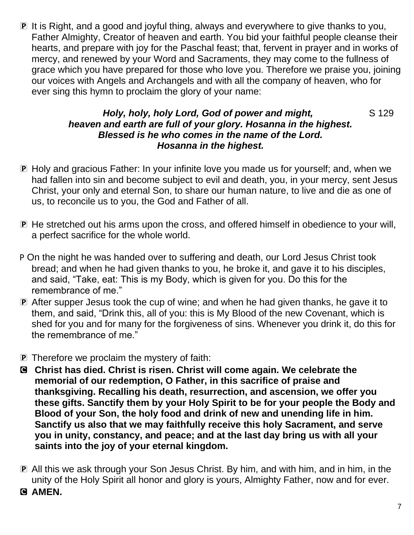P It is Right, and a good and joyful thing, always and everywhere to give thanks to you, Father Almighty, Creator of heaven and earth. You bid your faithful people cleanse their hearts, and prepare with joy for the Paschal feast; that, fervent in prayer and in works of mercy, and renewed by your Word and Sacraments, they may come to the fullness of grace which you have prepared for those who love you. Therefore we praise you, joining our voices with Angels and Archangels and with all the company of heaven, who for ever sing this hymn to proclaim the glory of your name:

### *Holy, holy, holy Lord, God of power and might,* S 129 *heaven and earth are full of your glory. Hosanna in the highest. Blessed is he who comes in the name of the Lord. Hosanna in the highest.*

- P Holy and gracious Father: In your infinite love you made us for yourself; and, when we had fallen into sin and become subject to evil and death, you, in your mercy, sent Jesus Christ, your only and eternal Son, to share our human nature, to live and die as one of us, to reconcile us to you, the God and Father of all.
- P He stretched out his arms upon the cross, and offered himself in obedience to your will, a perfect sacrifice for the whole world.
- P On the night he was handed over to suffering and death, our Lord Jesus Christ took bread; and when he had given thanks to you, he broke it, and gave it to his disciples, and said, "Take, eat: This is my Body, which is given for you. Do this for the remembrance of me."
- P After supper Jesus took the cup of wine; and when he had given thanks, he gave it to them, and said, "Drink this, all of you: this is My Blood of the new Covenant, which is shed for you and for many for the forgiveness of sins. Whenever you drink it, do this for the remembrance of me."
- P Therefore we proclaim the mystery of faith:
- C **Christ has died. Christ is risen. Christ will come again. We celebrate the memorial of our redemption, O Father, in this sacrifice of praise and thanksgiving. Recalling his death, resurrection, and ascension, we offer you these gifts. Sanctify them by your Holy Spirit to be for your people the Body and Blood of your Son, the holy food and drink of new and unending life in him. Sanctify us also that we may faithfully receive this holy Sacrament, and serve you in unity, constancy, and peace; and at the last day bring us with all your saints into the joy of your eternal kingdom.**
- P All this we ask through your Son Jesus Christ. By him, and with him, and in him, in the unity of the Holy Spirit all honor and glory is yours, Almighty Father, now and for ever.
- C **AMEN.**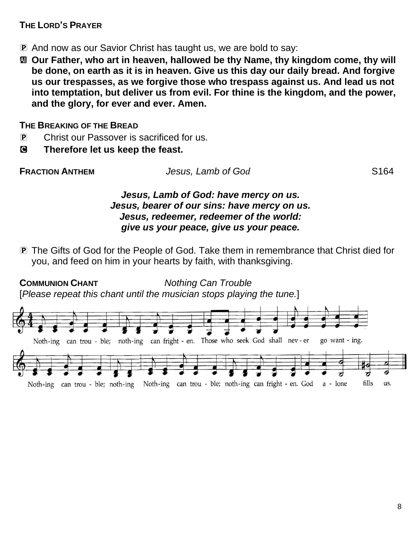### **THE LORD'S PRAYER**

- P And now as our Savior Christ has taught us, we are bold to say:
- a **Our Father, who art in heaven, hallowed be thy Name, thy kingdom come, thy will be done, on earth as it is in heaven. Give us this day our daily bread. And forgive us our trespasses, as we forgive those who trespass against us. And lead us not into temptation, but deliver us from evil. For thine is the kingdom, and the power, and the glory, for ever and ever. Amen.**

### **THE BREAKING OF THE BREAD**

- P Christ our Passover is sacrificed for us.
- C **Therefore let us keep the feast.**

| <b>FRACTION ANTHEM</b> | Jesus, Lamb of God | S <sub>164</sub> |
|------------------------|--------------------|------------------|
|                        |                    |                  |

#### *Jesus, Lamb of God: have mercy on us. Jesus, bearer of our sins: have mercy on us. Jesus, redeemer, redeemer of the world: give us your peace, give us your peace.*

P The Gifts of God for the People of God. Take them in remembrance that Christ died for you, and feed on him in your hearts by faith, with thanksgiving.

**COMMUNION CHANT** *Nothing Can Trouble* [*Please repeat this chant until the musician stops playing the tune.*]

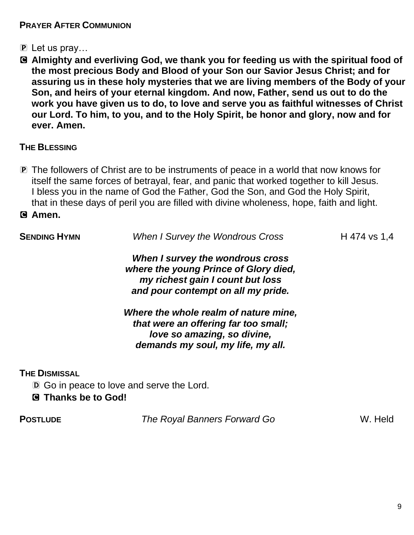### **PRAYER AFTER COMMUNION**

- P Let us pray…
- C **Almighty and everliving God, we thank you for feeding us with the spiritual food of the most precious Body and Blood of your Son our Savior Jesus Christ; and for assuring us in these holy mysteries that we are living members of the Body of your Son, and heirs of your eternal kingdom. And now, Father, send us out to do the work you have given us to do, to love and serve you as faithful witnesses of Christ our Lord. To him, to you, and to the Holy Spirit, be honor and glory, now and for ever. Amen.**

#### **THE BLESSING**

**P** The followers of Christ are to be instruments of peace in a world that now knows for itself the same forces of betrayal, fear, and panic that worked together to kill Jesus. I bless you in the name of God the Father, God the Son, and God the Holy Spirit, that in these days of peril you are filled with divine wholeness, hope, faith and light.

#### C **Amen.**

| <b>SENDING HYMN</b>                                | <b>When I Survey the Wondrous Cross</b>                                                                                                             | H 474 vs 1,4 |  |
|----------------------------------------------------|-----------------------------------------------------------------------------------------------------------------------------------------------------|--------------|--|
|                                                    | When I survey the wondrous cross<br>where the young Prince of Glory died,<br>my richest gain I count but loss<br>and pour contempt on all my pride. |              |  |
|                                                    | Where the whole realm of nature mine,<br>that were an offering far too small;<br>love so amazing, so divine,<br>demands my soul, my life, my all.   |              |  |
| <b>THE DISMISSAL</b><br><b>G</b> Thanks be to God! | <b>D</b> Go in peace to love and serve the Lord.                                                                                                    |              |  |
|                                                    |                                                                                                                                                     |              |  |

**POSTLUDE** *The Royal Banners Forward Go* W. Held